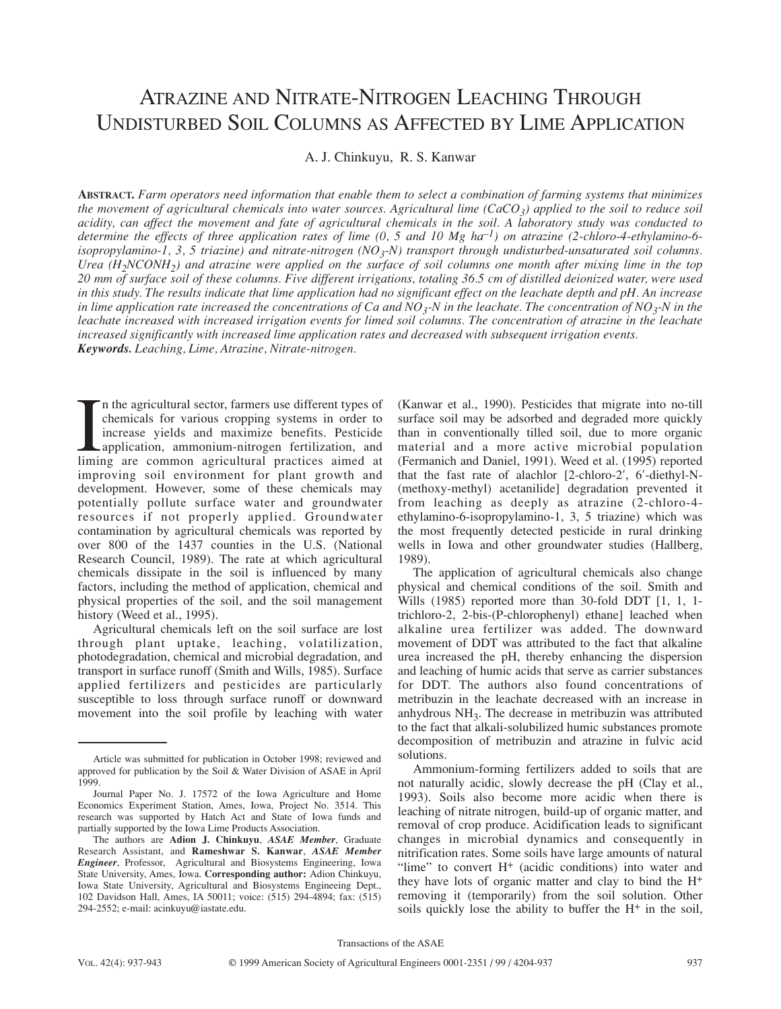# ATRAZINE AND NITRATE-NITROGEN LEACHING THROUGH UNDISTURBED SOIL COLUMNS AS AFFECTED BY LIME APPLICATION

A. J. Chinkuyu, R. S. Kanwar

**ABSTRACT.** *Farm operators need information that enable them to select a combination of farming systems that minimizes the movement of agricultural chemicals into water sources. Agricultural lime*  $(CaCO<sub>3</sub>)$  *applied to the soil to reduce soil acidity, can affect the movement and fate of agricultural chemicals in the soil. A laboratory study was conducted to determine the effects of three application rates of lime (0, 5 and 10 Mg ha–1) on atrazine (2-chloro-4-ethylamino-6*  $isopropylamino-1, 3, 5, triazine)$  and nitrate-nitrogen  $(NO_3-N)$  transport through undisturbed-unsaturated soil columns. *Urea (H2NCONH2) and atrazine were applied on the surface of soil columns one month after mixing lime in the top 20 mm of surface soil of these columns. Five different irrigations, totaling 36.5 cm of distilled deionized water, were used in this study. The results indicate that lime application had no significant effect on the leachate depth and pH. An increase in lime application rate increased the concentrations of Ca and NO<sub>3</sub>-N in the leachate. The concentration of NO<sub>3</sub>-N in the leachate increased with increased irrigation events for limed soil columns. The concentration of atrazine in the leachate increased significantly with increased lime application rates and decreased with subsequent irrigation events. Keywords. Leaching, Lime, Atrazine, Nitrate-nitrogen.*

In the agricultural sector, farmers use different types of chemicals for various cropping systems in order to increase yields and maximize benefits. Pesticide application, ammonium-nitrogen fertilization, and liming are co n the agricultural sector, farmers use different types of chemicals for various cropping systems in order to increase yields and maximize benefits. Pesticide application, ammonium-nitrogen fertilization, and improving soil environment for plant growth and development. However, some of these chemicals may potentially pollute surface water and groundwater resources if not properly applied. Groundwater contamination by agricultural chemicals was reported by over 800 of the 1437 counties in the U.S. (National Research Council, 1989). The rate at which agricultural chemicals dissipate in the soil is influenced by many factors, including the method of application, chemical and physical properties of the soil, and the soil management history (Weed et al., 1995).

Agricultural chemicals left on the soil surface are lost through plant uptake, leaching, volatilization, photodegradation, chemical and microbial degradation, and transport in surface runoff (Smith and Wills, 1985). Surface applied fertilizers and pesticides are particularly susceptible to loss through surface runoff or downward movement into the soil profile by leaching with water (Kanwar et al., 1990). Pesticides that migrate into no-till surface soil may be adsorbed and degraded more quickly than in conventionally tilled soil, due to more organic material and a more active microbial population (Fermanich and Daniel, 1991). Weed et al. (1995) reported that the fast rate of alachlor [2-chloro-2′, 6′-diethyl-N- (methoxy-methyl) acetanilide] degradation prevented it from leaching as deeply as atrazine (2-chloro-4 ethylamino-6-isopropylamino-1, 3, 5 triazine) which was the most frequently detected pesticide in rural drinking wells in Iowa and other groundwater studies (Hallberg, 1989).

The application of agricultural chemicals also change physical and chemical conditions of the soil. Smith and Wills (1985) reported more than 30-fold DDT [1, 1, 1 trichloro-2, 2-bis-(P-chlorophenyl) ethane] leached when alkaline urea fertilizer was added. The downward movement of DDT was attributed to the fact that alkaline urea increased the pH, thereby enhancing the dispersion and leaching of humic acids that serve as carrier substances for DDT. The authors also found concentrations of metribuzin in the leachate decreased with an increase in anhydrous  $NH<sub>3</sub>$ . The decrease in metribuzin was attributed to the fact that alkali-solubilized humic substances promote decomposition of metribuzin and atrazine in fulvic acid solutions.

Ammonium-forming fertilizers added to soils that are not naturally acidic, slowly decrease the pH (Clay et al., 1993). Soils also become more acidic when there is leaching of nitrate nitrogen, build-up of organic matter, and removal of crop produce. Acidification leads to significant changes in microbial dynamics and consequently in nitrification rates. Some soils have large amounts of natural "lime" to convert H+ (acidic conditions) into water and they have lots of organic matter and clay to bind the H+ removing it (temporarily) from the soil solution. Other soils quickly lose the ability to buffer the  $H^+$  in the soil,

Article was submitted for publication in October 1998; reviewed and approved for publication by the Soil & Water Division of ASAE in April 1999.

Journal Paper No. J. 17572 of the Iowa Agriculture and Home Economics Experiment Station, Ames, Iowa, Project No. 3514. This research was supported by Hatch Act and State of Iowa funds and partially supported by the Iowa Lime Products Association.

The authors are **Adion J. Chinkuyu**, *ASAE Member*, Graduate Research Assistant, and **Rameshwar S. Kanwar**, *ASAE Member Engineer*, Professor, Agricultural and Biosystems Engineering, Iowa State University, Ames, Iowa. **Corresponding author:** Adion Chinkuyu, Iowa State University, Agricultural and Biosystems Engineeing Dept., 102 Davidson Hall, Ames, IA 50011; voice: (515) 294-4894; fax: (515) 294-2552; e-mail: acinkuyu@iastate.edu.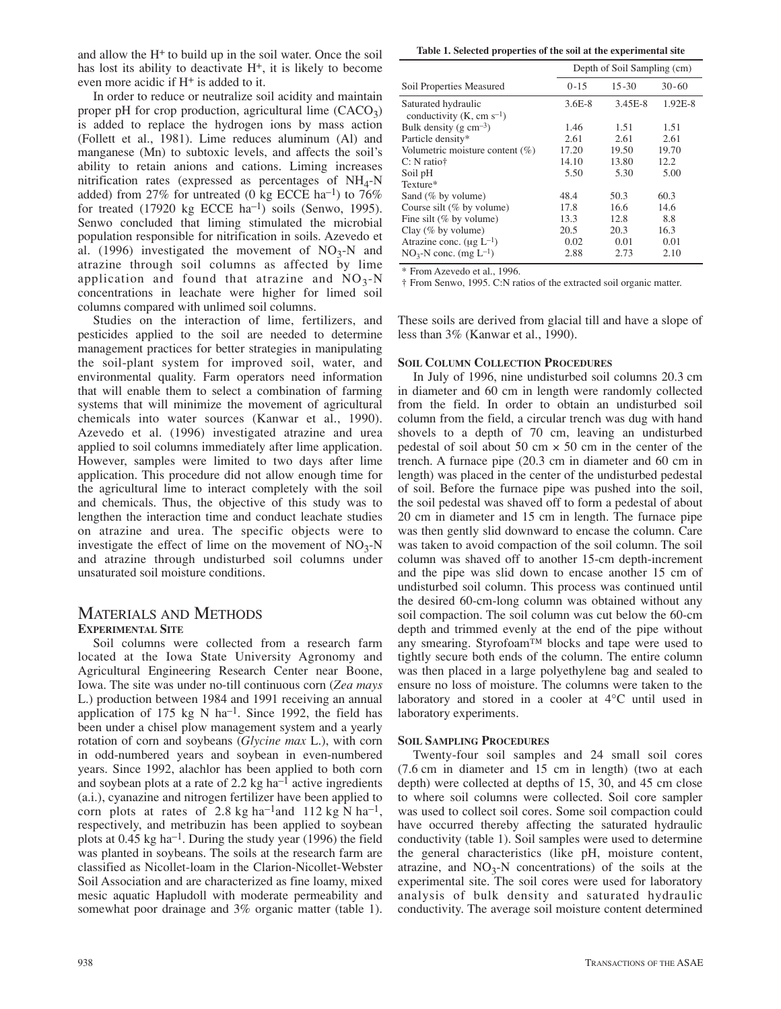and allow the H+ to build up in the soil water. Once the soil has lost its ability to deactivate H<sup>+</sup>, it is likely to become even more acidic if H+ is added to it.

In order to reduce or neutralize soil acidity and maintain proper pH for crop production, agricultural lime  $(CACO<sub>3</sub>)$ is added to replace the hydrogen ions by mass action (Follett et al., 1981). Lime reduces aluminum (Al) and manganese (Mn) to subtoxic levels, and affects the soil's ability to retain anions and cations. Liming increases nitrification rates (expressed as percentages of  $NH<sub>4</sub>-N$ added) from 27% for untreated (0 kg ECCE ha<sup>-1</sup>) to 76% for treated  $(17920 \text{ kg }$  ECCE ha<sup>-1</sup>) soils (Senwo, 1995). Senwo concluded that liming stimulated the microbial population responsible for nitrification in soils. Azevedo et al. (1996) investigated the movement of  $NO<sub>3</sub>-N$  and atrazine through soil columns as affected by lime application and found that atrazine and  $NO<sub>3</sub>-N$ concentrations in leachate were higher for limed soil columns compared with unlimed soil columns.

Studies on the interaction of lime, fertilizers, and pesticides applied to the soil are needed to determine management practices for better strategies in manipulating the soil-plant system for improved soil, water, and environmental quality. Farm operators need information that will enable them to select a combination of farming systems that will minimize the movement of agricultural chemicals into water sources (Kanwar et al., 1990). Azevedo et al. (1996) investigated atrazine and urea applied to soil columns immediately after lime application. However, samples were limited to two days after lime application. This procedure did not allow enough time for the agricultural lime to interact completely with the soil and chemicals. Thus, the objective of this study was to lengthen the interaction time and conduct leachate studies on atrazine and urea. The specific objects were to investigate the effect of lime on the movement of  $NO<sub>3</sub>-N$ and atrazine through undisturbed soil columns under unsaturated soil moisture conditions.

# MATERIALS AND METHODS **EXPERIMENTAL SITE**

Soil columns were collected from a research farm located at the Iowa State University Agronomy and Agricultural Engineering Research Center near Boone, Iowa. The site was under no-till continuous corn (*Zea mays* L.) production between 1984 and 1991 receiving an annual application of  $175 \text{ kg}$  N ha<sup>-1</sup>. Since 1992, the field has been under a chisel plow management system and a yearly rotation of corn and soybeans (*Glycine max* L.), with corn in odd-numbered years and soybean in even-numbered years. Since 1992, alachlor has been applied to both corn and soybean plots at a rate of 2.2 kg ha<sup>-1</sup> active ingredients (a.i.), cyanazine and nitrogen fertilizer have been applied to corn plots at rates of  $2.8 \text{ kg ha}^{-1}$  and  $112 \text{ kg N ha}^{-1}$ , respectively, and metribuzin has been applied to soybean plots at  $0.45 \text{ kg}$  ha<sup>-1</sup>. During the study year (1996) the field was planted in soybeans. The soils at the research farm are classified as Nicollet-loam in the Clarion-Nicollet-Webster Soil Association and are characterized as fine loamy, mixed mesic aquatic Hapludoll with moderate permeability and somewhat poor drainage and 3% organic matter (table 1).

**Table 1. Selected properties of the soil at the experimental site**

|                                                   | Depth of Soil Sampling (cm) |           |           |  |
|---------------------------------------------------|-----------------------------|-----------|-----------|--|
| Soil Properties Measured                          | $0 - 15$                    | $15 - 30$ | $30 - 60$ |  |
| Saturated hydraulic<br>conductivity $(K, cm s-1)$ | $3.6E-8$                    | 3.45E-8   | 1.92E-8   |  |
| Bulk density ( $g \text{ cm}^{-3}$ )              | 1.46                        | 1.51      | 1.51      |  |
| Particle density*                                 | 2.61                        | 2.61      | 2.61      |  |
| Volumetric moisture content (%)                   | 17.20                       | 19.50     | 19.70     |  |
| $C: N$ ratio <sup><math>\dagger</math></sup>      | 14.10                       | 13.80     | 12.2      |  |
| Soil pH                                           | 5.50                        | 5.30      | 5.00      |  |
| Texture*                                          |                             |           |           |  |
| Sand (% by volume)                                | 48.4                        | 50.3      | 60.3      |  |
| Course silt (% by volume)                         | 17.8                        | 16.6      | 14.6      |  |
| Fine silt (% by volume)                           | 13.3                        | 12.8      | 8.8       |  |
| Clay $(\%$ by volume)                             | 20.5                        | 20.3      | 16.3      |  |
| Atrazine conc. $(\mu g L^{-1})$                   | 0.02                        | 0.01      | 0.01      |  |
| $NO3-N$ conc. (mg L <sup>-1</sup> )               | 2.88                        | 2.73      | 2.10      |  |

\* From Azevedo et al., 1996.

† From Senwo, 1995. C:N ratios of the extracted soil organic matter.

These soils are derived from glacial till and have a slope of less than 3% (Kanwar et al., 1990).

#### **SOIL COLUMN COLLECTION PROCEDURES**

In July of 1996, nine undisturbed soil columns 20.3 cm in diameter and 60 cm in length were randomly collected from the field. In order to obtain an undisturbed soil column from the field, a circular trench was dug with hand shovels to a depth of 70 cm, leaving an undisturbed pedestal of soil about 50 cm  $\times$  50 cm in the center of the trench. A furnace pipe (20.3 cm in diameter and 60 cm in length) was placed in the center of the undisturbed pedestal of soil. Before the furnace pipe was pushed into the soil, the soil pedestal was shaved off to form a pedestal of about 20 cm in diameter and 15 cm in length. The furnace pipe was then gently slid downward to encase the column. Care was taken to avoid compaction of the soil column. The soil column was shaved off to another 15-cm depth-increment and the pipe was slid down to encase another 15 cm of undisturbed soil column. This process was continued until the desired 60-cm-long column was obtained without any soil compaction. The soil column was cut below the 60-cm depth and trimmed evenly at the end of the pipe without any smearing. Styrofoam™ blocks and tape were used to tightly secure both ends of the column. The entire column was then placed in a large polyethylene bag and sealed to ensure no loss of moisture. The columns were taken to the laboratory and stored in a cooler at 4°C until used in laboratory experiments.

### **SOIL SAMPLING PROCEDURES**

Twenty-four soil samples and 24 small soil cores (7.6 cm in diameter and 15 cm in length) (two at each depth) were collected at depths of 15, 30, and 45 cm close to where soil columns were collected. Soil core sampler was used to collect soil cores. Some soil compaction could have occurred thereby affecting the saturated hydraulic conductivity (table 1). Soil samples were used to determine the general characteristics (like pH, moisture content, atrazine, and  $NO<sub>3</sub>-N$  concentrations) of the soils at the experimental site. The soil cores were used for laboratory analysis of bulk density and saturated hydraulic conductivity. The average soil moisture content determined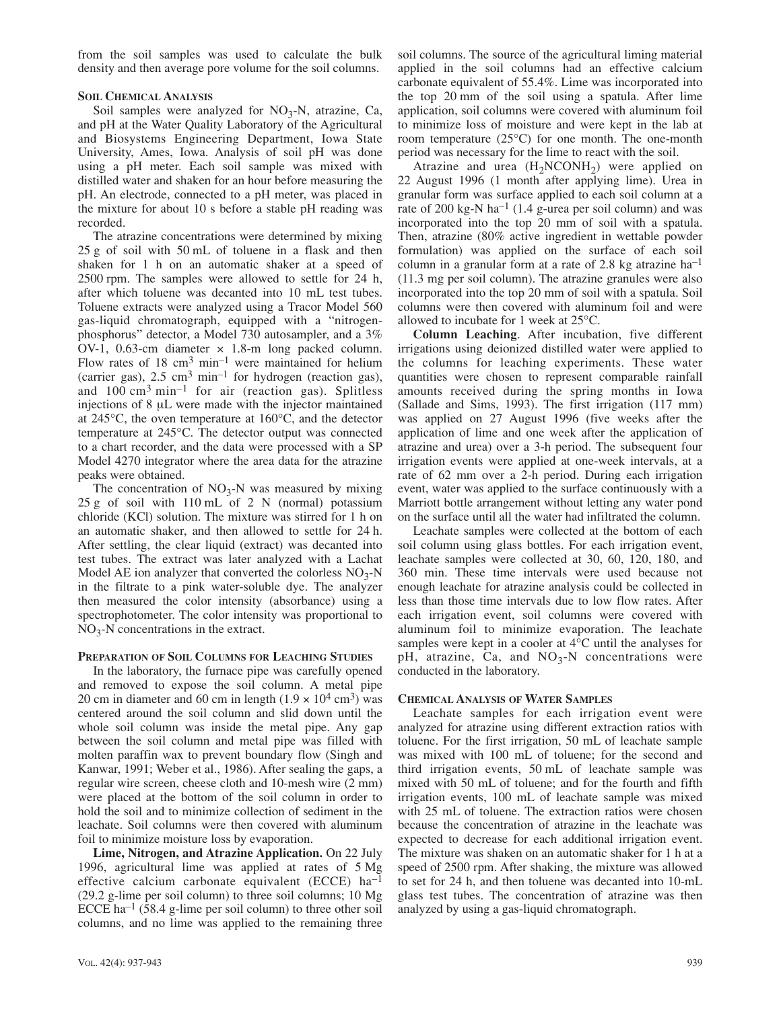from the soil samples was used to calculate the bulk density and then average pore volume for the soil columns.

#### **SOIL CHEMICAL ANALYSIS**

Soil samples were analyzed for  $NO<sub>3</sub>-N$ , atrazine, Ca, and pH at the Water Quality Laboratory of the Agricultural and Biosystems Engineering Department, Iowa State University, Ames, Iowa. Analysis of soil pH was done using a pH meter. Each soil sample was mixed with distilled water and shaken for an hour before measuring the pH. An electrode, connected to a pH meter, was placed in the mixture for about 10 s before a stable pH reading was recorded.

The atrazine concentrations were determined by mixing 25 g of soil with 50 mL of toluene in a flask and then shaken for 1 h on an automatic shaker at a speed of 2500 rpm. The samples were allowed to settle for 24 h, after which toluene was decanted into 10 mL test tubes. Toluene extracts were analyzed using a Tracor Model 560 gas-liquid chromatograph, equipped with a "nitrogenphosphorus" detector, a Model 730 autosampler, and a 3% OV-1, 0.63-cm diameter × 1.8-m long packed column. Flow rates of  $18 \text{ cm}^3 \text{ min}^{-1}$  were maintained for helium (carrier gas),  $2.5 \text{ cm}^3 \text{ min}^{-1}$  for hydrogen (reaction gas), and  $100 \text{ cm}^3 \text{ min}^{-1}$  for air (reaction gas). Splitless injections of 8 µL were made with the injector maintained at 245°C, the oven temperature at 160°C, and the detector temperature at 245°C. The detector output was connected to a chart recorder, and the data were processed with a SP Model 4270 integrator where the area data for the atrazine peaks were obtained.

The concentration of  $NO<sub>3</sub>-N$  was measured by mixing 25 g of soil with 110 mL of 2 N (normal) potassium chloride (KCl) solution. The mixture was stirred for 1 h on an automatic shaker, and then allowed to settle for 24 h. After settling, the clear liquid (extract) was decanted into test tubes. The extract was later analyzed with a Lachat Model AE ion analyzer that converted the colorless  $NO<sub>3</sub>-N$ in the filtrate to a pink water-soluble dye. The analyzer then measured the color intensity (absorbance) using a spectrophotometer. The color intensity was proportional to  $NO<sub>3</sub>-N$  concentrations in the extract.

## **PREPARATION OF SOIL COLUMNS FOR LEACHING STUDIES**

In the laboratory, the furnace pipe was carefully opened and removed to expose the soil column. A metal pipe 20 cm in diameter and 60 cm in length  $(1.9 \times 10^4 \text{ cm}^3)$  was centered around the soil column and slid down until the whole soil column was inside the metal pipe. Any gap between the soil column and metal pipe was filled with molten paraffin wax to prevent boundary flow (Singh and Kanwar, 1991; Weber et al., 1986). After sealing the gaps, a regular wire screen, cheese cloth and 10-mesh wire (2 mm) were placed at the bottom of the soil column in order to hold the soil and to minimize collection of sediment in the leachate. Soil columns were then covered with aluminum foil to minimize moisture loss by evaporation.

**Lime, Nitrogen, and Atrazine Application.** On 22 July 1996, agricultural lime was applied at rates of 5 Mg effective calcium carbonate equivalent (ECCE) ha–1 (29.2 g-lime per soil column) to three soil columns; 10 Mg ECCE ha<sup>-1</sup> (58.4 g-lime per soil column) to three other soil columns, and no lime was applied to the remaining three

soil columns. The source of the agricultural liming material applied in the soil columns had an effective calcium carbonate equivalent of 55.4%. Lime was incorporated into the top 20 mm of the soil using a spatula. After lime application, soil columns were covered with aluminum foil to minimize loss of moisture and were kept in the lab at room temperature  $(25^{\circ}C)$  for one month. The one-month period was necessary for the lime to react with the soil.

Atrazine and urea  $(H_2NCONH_2)$  were applied on 22 August 1996 (1 month after applying lime). Urea in granular form was surface applied to each soil column at a rate of 200 kg-N ha<sup>-1</sup> (1.4 g-urea per soil column) and was incorporated into the top 20 mm of soil with a spatula. Then, atrazine (80% active ingredient in wettable powder formulation) was applied on the surface of each soil column in a granular form at a rate of 2.8 kg atrazine  $ha^{-1}$ (11.3 mg per soil column). The atrazine granules were also incorporated into the top 20 mm of soil with a spatula. Soil columns were then covered with aluminum foil and were allowed to incubate for 1 week at 25°C.

**Column Leaching**. After incubation, five different irrigations using deionized distilled water were applied to the columns for leaching experiments. These water quantities were chosen to represent comparable rainfall amounts received during the spring months in Iowa (Sallade and Sims, 1993). The first irrigation (117 mm) was applied on 27 August 1996 (five weeks after the application of lime and one week after the application of atrazine and urea) over a 3-h period. The subsequent four irrigation events were applied at one-week intervals, at a rate of 62 mm over a 2-h period. During each irrigation event, water was applied to the surface continuously with a Marriott bottle arrangement without letting any water pond on the surface until all the water had infiltrated the column.

Leachate samples were collected at the bottom of each soil column using glass bottles. For each irrigation event, leachate samples were collected at 30, 60, 120, 180, and 360 min. These time intervals were used because not enough leachate for atrazine analysis could be collected in less than those time intervals due to low flow rates. After each irrigation event, soil columns were covered with aluminum foil to minimize evaporation. The leachate samples were kept in a cooler at 4°C until the analyses for pH, atrazine, Ca, and  $NO<sub>3</sub>-N$  concentrations were conducted in the laboratory.

# **CHEMICAL ANALYSIS OF WATER SAMPLES**

Leachate samples for each irrigation event were analyzed for atrazine using different extraction ratios with toluene. For the first irrigation, 50 mL of leachate sample was mixed with 100 mL of toluene; for the second and third irrigation events, 50 mL of leachate sample was mixed with 50 mL of toluene; and for the fourth and fifth irrigation events, 100 mL of leachate sample was mixed with 25 mL of toluene. The extraction ratios were chosen because the concentration of atrazine in the leachate was expected to decrease for each additional irrigation event. The mixture was shaken on an automatic shaker for 1 h at a speed of 2500 rpm. After shaking, the mixture was allowed to set for 24 h, and then toluene was decanted into 10-mL glass test tubes. The concentration of atrazine was then analyzed by using a gas-liquid chromatograph.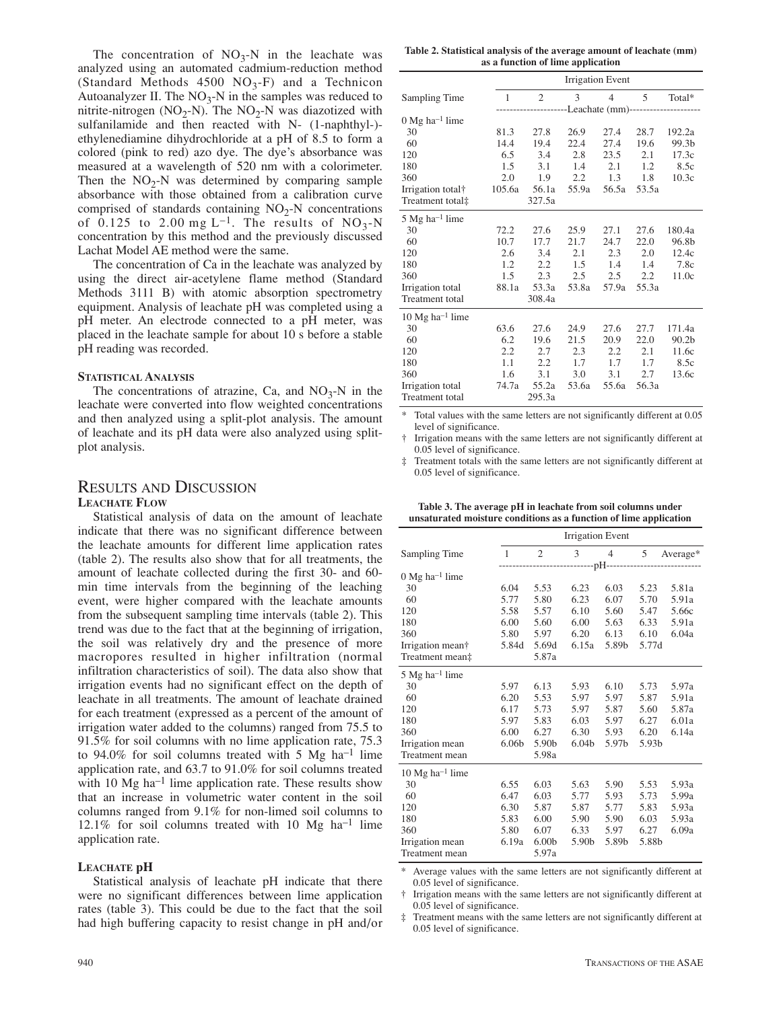The concentration of  $NO_3-N$  in the leachate was analyzed using an automated cadmium-reduction method (Standard Methods 4500  $NO<sub>3</sub>-F$ ) and a Technicon Autoanalyzer II. The  $NO<sub>3</sub>-N$  in the samples was reduced to nitrite-nitrogen (NO<sub>2</sub>-N). The NO<sub>2</sub>-N was diazotized with sulfanilamide and then reacted with N- (1-naphthyl-) ethylenediamine dihydrochloride at a pH of 8.5 to form a colored (pink to red) azo dye. The dye's absorbance was measured at a wavelength of 520 nm with a colorimeter. Then the  $NO<sub>2</sub>-N$  was determined by comparing sample absorbance with those obtained from a calibration curve comprised of standards containing  $NO<sub>2</sub>$ -N concentrations of 0.125 to 2.00 mg L<sup>-1</sup>. The results of  $NO_3-N$ concentration by this method and the previously discussed Lachat Model AE method were the same.

The concentration of Ca in the leachate was analyzed by using the direct air-acetylene flame method (Standard Methods 3111 B) with atomic absorption spectrometry equipment. Analysis of leachate pH was completed using a pH meter. An electrode connected to a pH meter, was placed in the leachate sample for about 10 s before a stable pH reading was recorded.

#### **STATISTICAL ANALYSIS**

The concentrations of atrazine, Ca, and  $NO_3-N$  in the leachate were converted into flow weighted concentrations and then analyzed using a split-plot analysis. The amount of leachate and its pH data were also analyzed using splitplot analysis.

## RESULTS AND DISCUSSION

#### **LEACHATE FLOW**

Statistical analysis of data on the amount of leachate indicate that there was no significant difference between the leachate amounts for different lime application rates (table 2). The results also show that for all treatments, the amount of leachate collected during the first 30- and 60 min time intervals from the beginning of the leaching event, were higher compared with the leachate amounts from the subsequent sampling time intervals (table 2). This trend was due to the fact that at the beginning of irrigation, the soil was relatively dry and the presence of more macropores resulted in higher infiltration (normal infiltration characteristics of soil). The data also show that irrigation events had no significant effect on the depth of leachate in all treatments. The amount of leachate drained for each treatment (expressed as a percent of the amount of irrigation water added to the columns) ranged from 75.5 to 91.5% for soil columns with no lime application rate, 75.3 to 94.0% for soil columns treated with 5 Mg ha<sup>-1</sup> lime application rate, and 63.7 to 91.0% for soil columns treated with 10 Mg ha<sup>-1</sup> lime application rate. These results show that an increase in volumetric water content in the soil columns ranged from 9.1% for non-limed soil columns to  $12.1\%$  for soil columns treated with 10 Mg ha<sup>-1</sup> lime application rate.

#### **LEACHATE pH**

Statistical analysis of leachate pH indicate that there were no significant differences between lime application rates (table 3). This could be due to the fact that the soil had high buffering capacity to resist change in pH and/or

**Table 2. Statistical analysis of the average amount of leachate (mm) as a function of lime application**

|                              | <b>Irrigation Event</b> |                                                  |               |                |                          |                   |  |  |
|------------------------------|-------------------------|--------------------------------------------------|---------------|----------------|--------------------------|-------------------|--|--|
| Sampling Time                | 1                       | $\mathfrak{D}$                                   | $\mathcal{E}$ | $\overline{4}$ | $\overline{\phantom{0}}$ | Total*            |  |  |
|                              |                         | --------------Leachate (mm)--------------------- |               |                |                          |                   |  |  |
| $0$ Mg ha <sup>-1</sup> lime |                         |                                                  |               |                |                          |                   |  |  |
| 30                           | 81.3                    | 27.8                                             | 26.9          | 27.4           | 28.7                     | 192.2a            |  |  |
| 60                           | 14.4                    | 19.4                                             | 22.4          | 27.4           | 19.6                     | 99.3b             |  |  |
| 120                          | 6.5                     | 3.4                                              | 2.8           | 23.5           | 2.1                      | 17.3c             |  |  |
| 180                          | 1.5                     | 3.1                                              | 1.4           | 2.1            | 1.2                      | 8.5c              |  |  |
| 360                          | 2.0                     | 1.9                                              | $2.2^{\circ}$ | 1.3            | 1.8                      | 10.3c             |  |  |
| Irrigation total†            | 105.6a                  | 56.1a                                            | 55.9a         | 56.5a          | 53.5a                    |                   |  |  |
| Treatment total‡             |                         | 327.5a                                           |               |                |                          |                   |  |  |
| $5$ Mg ha <sup>-1</sup> lime |                         |                                                  |               |                |                          |                   |  |  |
| 30                           | 72.2                    | 27.6                                             | 25.9          | 27.1           | 27.6                     | 180.4a            |  |  |
| 60                           | 10.7                    | 17.7                                             | 21.7          | 24.7           | 22.0                     | 96.8b             |  |  |
| 120                          | 2.6                     | 3.4                                              | 2.1           | 2.3            | 2.0                      | 12.4c             |  |  |
| 180                          | 1.2                     | 2.2                                              | 1.5           | 1.4            | 1.4                      | 7.8c              |  |  |
| 360                          | 1.5                     | 2.3                                              | 2.5           | 2.5            | 2.2                      | 11.0c             |  |  |
| Irrigation total             | 88.1a                   | 53.3a                                            | 53.8a         | 57.9a          | 55.3a                    |                   |  |  |
| <b>Treatment</b> total       |                         | 308.4a                                           |               |                |                          |                   |  |  |
| 10 Mg ha <sup>-1</sup> lime  |                         |                                                  |               |                |                          |                   |  |  |
| 30                           | 63.6                    | 27.6                                             | 24.9          | 27.6           | 27.7                     | 171.4a            |  |  |
| 60                           | 6.2                     | 19.6                                             | 21.5          | 20.9           | 22.0                     | 90.2 <sub>b</sub> |  |  |
| 120                          | 2.2                     | 2.7                                              | 2.3           | 2.2            | 2.1                      | 11.6c             |  |  |
| 180                          | 1.1                     | 2.2                                              | 1.7           | 1.7            | 1.7                      | 8.5c              |  |  |
| 360                          | 1.6                     | 3.1                                              | 3.0           | 3.1            | 2.7                      | 13.6c             |  |  |
| Irrigation total             | 74.7a                   | 55.2a                                            | 53.6a         | 55.6a          | 56.3a                    |                   |  |  |
| Treatment total              |                         | 295.3a                                           |               |                |                          |                   |  |  |

Total values with the same letters are not significantly different at 0.05 level of significance.

† Irrigation means with the same letters are not significantly different at 0.05 level of significance.

‡ Treatment totals with the same letters are not significantly different at 0.05 level of significance.

**Table 3. The average pH in leachate from soil columns under unsaturated moisture conditions as a function of lime application**

|                                      | <b>Irrigation Event</b> |                   |                   |                |       |          |
|--------------------------------------|-------------------------|-------------------|-------------------|----------------|-------|----------|
| Sampling Time                        | $\mathbf{1}$            | $\overline{c}$    | 3                 | $\overline{4}$ | 5     | Average* |
|                                      |                         |                   |                   |                |       |          |
| $0 \text{ Mg}$ ha <sup>-1</sup> lime |                         |                   |                   |                |       |          |
| 30                                   | 6.04                    | 5.53              | 6.23              | 6.03           | 5.23  | 5.81a    |
| 60                                   | 5.77                    | 5.80              | 6.23              | 6.07           | 5.70  | 5.91a    |
| 120                                  | 5.58                    | 5.57              | 6.10              | 5.60           | 5.47  | 5.66c    |
| 180                                  | 6.00                    | 5.60              | 6.00              | 5.63           | 6.33  | 5.91a    |
| 360                                  | 5.80                    | 5.97              | 6.20              | 6.13           | 6.10  | 6.04a    |
| Irrigation mean†                     | 5.84d                   | 5.69d             | 6.15a             | 5.89b          | 5.77d |          |
| Treatment mean‡                      |                         | 5.87a             |                   |                |       |          |
| $5 \text{ Mg}$ ha <sup>-1</sup> lime |                         |                   |                   |                |       |          |
| 30                                   | 5.97                    | 6.13              | 5.93              | 6.10           | 5.73  | 5.97a    |
| 60                                   | 6.20                    | 5.53              | 5.97              | 5.97           | 5.87  | 5.91a    |
| 120                                  | 6.17                    | 5.73              | 5.97              | 5.87           | 5.60  | 5.87a    |
| 180                                  | 5.97                    | 5.83              | 6.03              | 5.97           | 6.27  | 6.01a    |
| 360                                  | 6.00                    | 6.27              | 6.30              | 5.93           | 6.20  | 6.14a    |
| Irrigation mean                      | 6.06 <sub>b</sub>       | 5.90b             | 6.04 <sub>b</sub> | 5.97b          | 5.93b |          |
| Treatment mean                       |                         | 5.98a             |                   |                |       |          |
| $10$ Mg ha <sup>-1</sup> lime        |                         |                   |                   |                |       |          |
| 30                                   | 6.55                    | 6.03              | 5.63              | 5.90           | 5.53  | 5.93a    |
| 60                                   | 6.47                    | 6.03              | 5.77              | 5.93           | 5.73  | 5.99a    |
| 120                                  | 6.30                    | 5.87              | 5.87              | 5.77           | 5.83  | 5.93a    |
| 180                                  | 5.83                    | 6.00              | 5.90              | 5.90           | 6.03  | 5.93a    |
| 360                                  | 5.80                    | 6.07              | 6.33              | 5.97           | 6.27  | 6.09a    |
| Irrigation mean                      | 6.19a                   | 6.00 <sub>b</sub> | 5.90b             | 5.89b          | 5.88b |          |
| Treatment mean                       |                         | 5.97a             |                   |                |       |          |

Average values with the same letters are not significantly different at 0.05 level of significance.

† Irrigation means with the same letters are not significantly different at 0.05 level of significance.

‡ Treatment means with the same letters are not significantly different at 0.05 level of significance.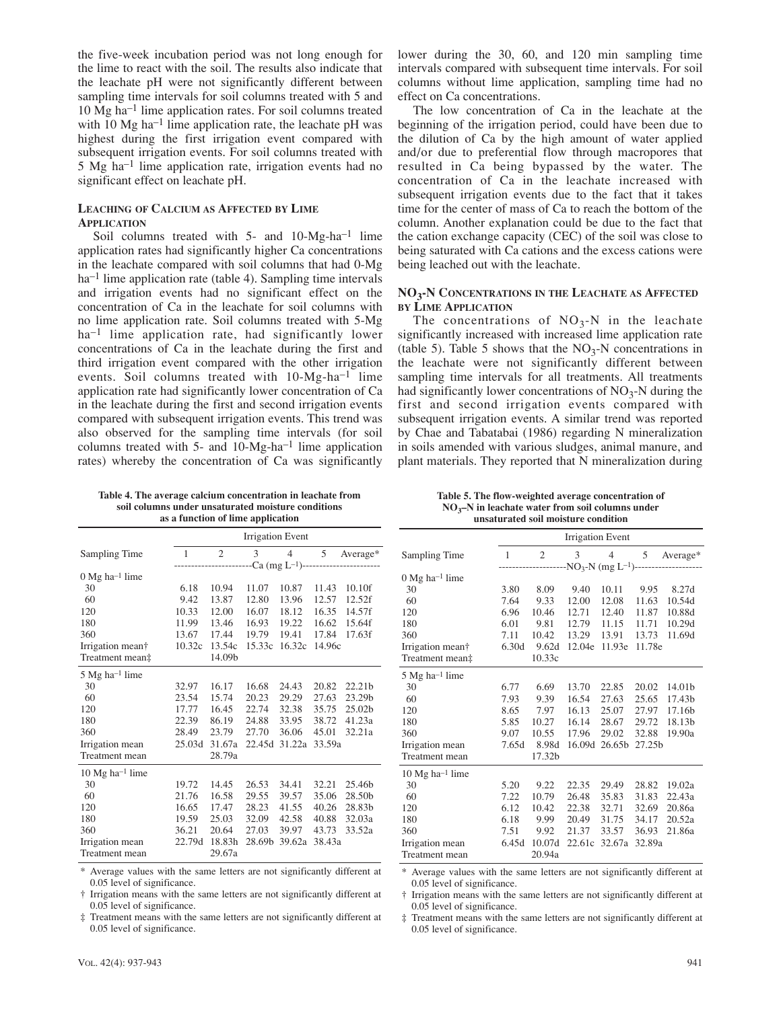the five-week incubation period was not long enough for the lime to react with the soil. The results also indicate that the leachate pH were not significantly different between sampling time intervals for soil columns treated with 5 and 10 Mg ha–1 lime application rates. For soil columns treated with 10 Mg ha<sup>-1</sup> lime application rate, the leachate pH was highest during the first irrigation event compared with subsequent irrigation events. For soil columns treated with 5 Mg ha–1 lime application rate, irrigation events had no significant effect on leachate pH.

## **LEACHING OF CALCIUM AS AFFECTED BY LIME APPLICATION**

Soil columns treated with 5- and 10-Mg-ha<sup>-1</sup> lime application rates had significantly higher Ca concentrations in the leachate compared with soil columns that had 0-Mg ha<sup>-1</sup> lime application rate (table 4). Sampling time intervals and irrigation events had no significant effect on the concentration of Ca in the leachate for soil columns with no lime application rate. Soil columns treated with 5-Mg ha<sup>-1</sup> lime application rate, had significantly lower concentrations of Ca in the leachate during the first and third irrigation event compared with the other irrigation events. Soil columns treated with 10-Mg-ha<sup>-1</sup> lime application rate had significantly lower concentration of Ca in the leachate during the first and second irrigation events compared with subsequent irrigation events. This trend was also observed for the sampling time intervals (for soil columns treated with  $5-$  and  $10-Mg-ha^{-1}$  lime application rates) whereby the concentration of Ca was significantly

lower during the 30, 60, and 120 min sampling time intervals compared with subsequent time intervals. For soil columns without lime application, sampling time had no effect on Ca concentrations.

The low concentration of Ca in the leachate at the beginning of the irrigation period, could have been due to the dilution of Ca by the high amount of water applied and/or due to preferential flow through macropores that resulted in Ca being bypassed by the water. The concentration of Ca in the leachate increased with subsequent irrigation events due to the fact that it takes time for the center of mass of Ca to reach the bottom of the column. Another explanation could be due to the fact that the cation exchange capacity (CEC) of the soil was close to being saturated with Ca cations and the excess cations were being leached out with the leachate.

## **NO3-N CONCENTRATIONS IN THE LEACHATE AS AFFECTED BY LIME APPLICATION**

The concentrations of  $NO<sub>3</sub>-N$  in the leachate significantly increased with increased lime application rate (table 5). Table 5 shows that the  $NO_3-N$  concentrations in the leachate were not significantly different between sampling time intervals for all treatments. All treatments had significantly lower concentrations of  $NO<sub>3</sub>-N$  during the first and second irrigation events compared with subsequent irrigation events. A similar trend was reported by Chae and Tabatabai (1986) regarding N mineralization in soils amended with various sludges, animal manure, and plant materials. They reported that N mineralization during

**Table 4. The average calcium concentration in leachate from soil columns under unsaturated moisture conditions as a function of lime application**

|                                      | <b>Irrigation Event</b>                  |                |        |                |        |                    |
|--------------------------------------|------------------------------------------|----------------|--------|----------------|--------|--------------------|
| Sampling Time                        | 1                                        | $\overline{c}$ | 3      | $\overline{4}$ | 5      | Average*           |
|                                      | $-Ca$ (mg L <sup>-1</sup> )------------- |                |        |                |        |                    |
| $0 \text{ Mg}$ ha <sup>-1</sup> lime |                                          |                |        |                |        |                    |
| 30                                   | 6.18                                     | 10.94          | 11.07  | 10.87          | 11.43  | 10.10f             |
| 60                                   | 9.42                                     | 13.87          | 12.80  | 13.96          | 12.57  | 12.52f             |
| 120                                  | 10.33                                    | 12.00          | 16.07  | 18.12          | 16.35  | 14.57f             |
| 180                                  | 11.99                                    | 13.46          | 16.93  | 19.22          | 16.62  | 15.64f             |
| 360                                  | 13.67                                    | 17.44          | 19.79  | 19.41          | 17.84  | 17.63f             |
| Irrigation mean†                     | 10.32c                                   | 13.54c         | 15.33c | 16.32c         | 14.96c |                    |
| Treatment mean‡                      |                                          | 14.09b         |        |                |        |                    |
| 5 Mg ha <sup>-1</sup> lime           |                                          |                |        |                |        |                    |
| 30                                   | 32.97                                    | 16.17          | 16.68  | 24.43          | 20.82  | 22.21 <sub>b</sub> |
| 60                                   | 23.54                                    | 15.74          | 20.23  | 29.29          | 27.63  | 23.29b             |
| 120                                  | 17.77                                    | 16.45          | 22.74  | 32.38          | 35.75  | 25.02b             |
| 180                                  | 22.39                                    | 86.19          | 24.88  | 33.95          | 38.72  | 41.23a             |
| 360                                  | 28.49                                    | 23.79          | 27.70  | 36.06          | 45.01  | 32.21a             |
| Irrigation mean                      | 25.03d                                   | 31.67a         | 22.45d | 31.22a         | 33.59a |                    |
| Treatment mean                       |                                          | 28.79a         |        |                |        |                    |
| $10 \text{ Mg} \text{ ha}^{-1}$ lime |                                          |                |        |                |        |                    |
| 30                                   | 19.72                                    | 14.45          | 26.53  | 34.41          | 32.21  | 25.46b             |
| 60                                   | 21.76                                    | 16.58          | 29.55  | 39.57          | 35.06  | 28.50b             |
| 120                                  | 16.65                                    | 17.47          | 28.23  | 41.55          | 40.26  | 28.83b             |
| 180                                  | 19.59                                    | 25.03          | 32.09  | 42.58          | 40.88  | 32.03a             |
| 360                                  | 36.21                                    | 20.64          | 27.03  | 39.97          | 43.73  | 33.52a             |
| Irrigation mean                      | 22.79d                                   | 18.83h         | 28.69b | 39.62a         | 38.43a |                    |
| Treatment mean                       |                                          | 29.67a         |        |                |        |                    |

\* Average values with the same letters are not significantly different at 0.05 level of significance.

† Irrigation means with the same letters are not significantly different at 0.05 level of significance.

‡ Treatment means with the same letters are not significantly different at 0.05 level of significance.

**Table 5. The flow-weighted average concentration of NO3–N in leachate water from soil columns under unsaturated soil moisture condition**

|                                       | <b>Irrigation Event</b>           |                |        |                    |        |          |
|---------------------------------------|-----------------------------------|----------------|--------|--------------------|--------|----------|
| Sampling Time                         | 1                                 | $\overline{2}$ | 3      | $\overline{4}$     | 5      | Average* |
|                                       | $-NO_3-N$ (mg L <sup>-1</sup> )-- |                |        |                    |        |          |
| $0$ Mg ha <sup>-1</sup> lime          |                                   |                |        |                    |        |          |
| 30                                    | 3.80                              | 8.09           | 9.40   | 10.11              | 9.95   | 8.27d    |
| 60                                    | 7.64                              | 9.33           | 12.00  | 12.08              | 11.63  | 10.54d   |
| 120                                   | 6.96                              | 10.46          | 12.71  | 12.40              | 11.87  | 10.88d   |
| 180                                   | 6.01                              | 9.81           | 12.79  | 11.15              | 11.71  | 10.29d   |
| 360                                   | 7.11                              | 10.42          | 13.29  | 13.91              | 13.73  | 11.69d   |
| Irrigation mean†                      | 6.30d                             | 9.62d          | 12.04e | 11.93e             | 11.78e |          |
| Treatment mean‡                       |                                   | 10.33c         |        |                    |        |          |
| 5 Mg ha <sup>-1</sup> lime            |                                   |                |        |                    |        |          |
| 30                                    | 6.77                              | 6.69           | 13.70  | 22.85              | 20.02  | 14.01b   |
| 60                                    | 7.93                              | 9.39           | 16.54  | 27.63              | 25.65  | 17.43b   |
| 120                                   | 8.65                              | 7.97           | 16.13  | 25.07              | 27.97  | 17.16b   |
| 180                                   | 5.85                              | 10.27          | 16.14  | 28.67              | 29.72  | 18.13b   |
| 360                                   | 9.07                              | 10.55          | 17.96  | 29.02              | 32.88  | 19.90a   |
| Irrigation mean                       | 7.65d                             | 8.98d          | 16.09d | 26.65 <sub>h</sub> | 27.25b |          |
| Treatment mean                        |                                   | 17.32b         |        |                    |        |          |
| $10 \text{ Mg}$ ha <sup>-1</sup> lime |                                   |                |        |                    |        |          |
| 30                                    | 5.20                              | 9.22           | 22.35  | 29.49              | 28.82  | 19.02a   |
| 60                                    | 7.22                              | 10.79          | 26.48  | 35.83              | 31.83  | 22.43a   |
| 120                                   | 6.12                              | 10.42          | 22.38  | 32.71              | 32.69  | 20.86a   |
| 180                                   | 6.18                              | 9.99           | 20.49  | 31.75              | 34.17  | 20.52a   |
| 360                                   | 7.51                              | 9.92           | 21.37  | 33.57              | 36.93  | 21.86a   |
| Irrigation mean                       | 6.45d                             | 10.07d         | 22.61c | 32.67a             | 32.89a |          |
| Treatment mean                        |                                   | 20.94a         |        |                    |        |          |

\* Average values with the same letters are not significantly different at 0.05 level of significance.

† Irrigation means with the same letters are not significantly different at 0.05 level of significance.

‡ Treatment means with the same letters are not significantly different at 0.05 level of significance.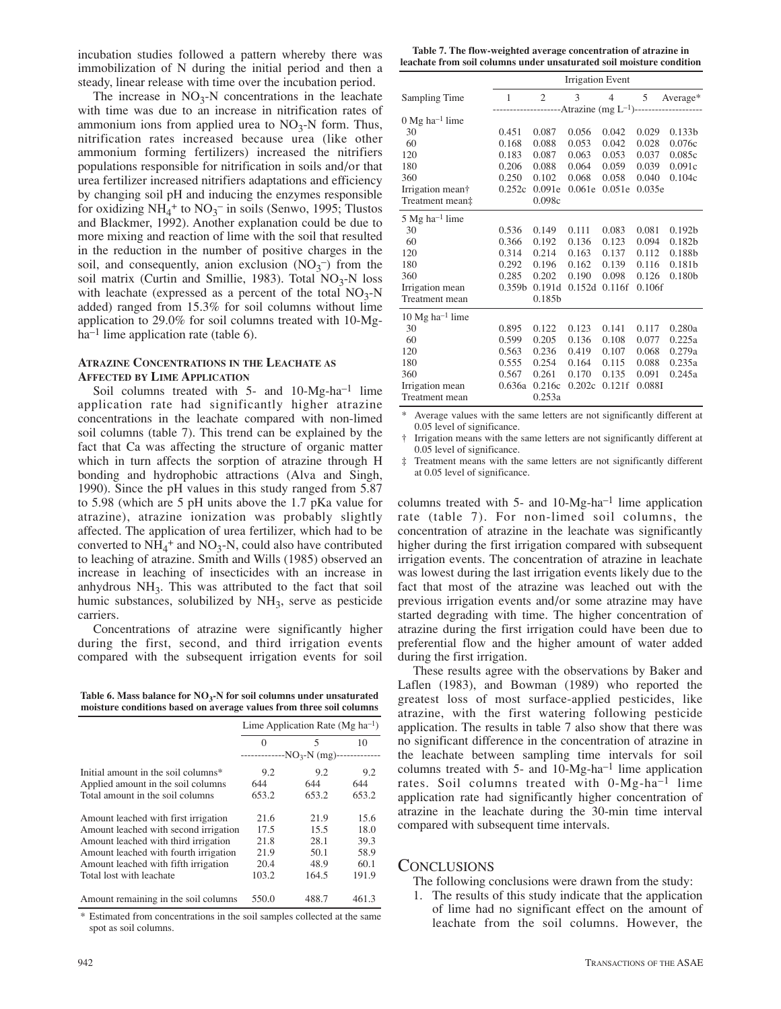incubation studies followed a pattern whereby there was immobilization of N during the initial period and then a steady, linear release with time over the incubation period.

The increase in  $NO<sub>3</sub>-N$  concentrations in the leachate with time was due to an increase in nitrification rates of ammonium ions from applied urea to  $NO<sub>3</sub>-N$  form. Thus, nitrification rates increased because urea (like other ammonium forming fertilizers) increased the nitrifiers populations responsible for nitrification in soils and/or that urea fertilizer increased nitrifiers adaptations and efficiency by changing soil pH and inducing the enzymes responsible for oxidizing  $NH_4^+$  to  $NO_3^-$  in soils (Senwo, 1995; Tlustos and Blackmer, 1992). Another explanation could be due to more mixing and reaction of lime with the soil that resulted in the reduction in the number of positive charges in the soil, and consequently, anion exclusion  $(NO<sub>3</sub><sup>-</sup>)$  from the soil matrix (Curtin and Smillie, 1983). Total  $NO<sub>3</sub>-N$  loss with leachate (expressed as a percent of the total  $NO<sub>3</sub>-N$ added) ranged from 15.3% for soil columns without lime application to 29.0% for soil columns treated with 10-Mg $ha^{-1}$  lime application rate (table 6).

## **ATRAZINE CONCENTRATIONS IN THE LEACHATE AS AFFECTED BY LIME APPLICATION**

Soil columns treated with 5- and 10-Mg-ha<sup>-1</sup> lime application rate had significantly higher atrazine concentrations in the leachate compared with non-limed soil columns (table 7). This trend can be explained by the fact that Ca was affecting the structure of organic matter which in turn affects the sorption of atrazine through H bonding and hydrophobic attractions (Alva and Singh, 1990). Since the pH values in this study ranged from 5.87 to 5.98 (which are 5 pH units above the 1.7 pKa value for atrazine), atrazine ionization was probably slightly affected. The application of urea fertilizer, which had to be converted to  $NH_4^+$  and  $NO_3$ -N, could also have contributed to leaching of atrazine. Smith and Wills (1985) observed an increase in leaching of insecticides with an increase in anhydrous  $NH<sub>3</sub>$ . This was attributed to the fact that soil humic substances, solubilized by  $NH<sub>3</sub>$ , serve as pesticide carriers.

Concentrations of atrazine were significantly higher during the first, second, and third irrigation events compared with the subsequent irrigation events for soil

Table 6. Mass balance for NO<sub>3</sub>-N for soil columns under unsaturated **moisture conditions based on average values from three soil columns**

|                                       | Lime Application Rate ( $Mg$ ha <sup>-1</sup> ) |                            |       |  |
|---------------------------------------|-------------------------------------------------|----------------------------|-------|--|
|                                       | $\Omega$                                        | 5                          | 10    |  |
|                                       | ---------                                       | $-NO3-N$ (mg)------------- |       |  |
| Initial amount in the soil columns*   | 9.2                                             | 9.2                        | 9.2   |  |
| Applied amount in the soil columns    | 644                                             | 644                        | 644   |  |
| Total amount in the soil columns      | 653.2                                           | 653.2                      | 653.2 |  |
| Amount leached with first irrigation  | 21.6                                            | 21.9                       | 15.6  |  |
| Amount leached with second irrigation | 17.5                                            | 15.5                       | 18.0  |  |
| Amount leached with third irrigation  | 21.8                                            | 28.1                       | 39.3  |  |
| Amount leached with fourth irrigation | 21.9                                            | 50.1                       | 58.9  |  |
| Amount leached with fifth irrigation  | 20.4                                            | 48.9                       | 60.1  |  |
| Total lost with leachate              | 103.2                                           | 164.5                      | 191.9 |  |
| Amount remaining in the soil columns  | 550.0                                           | 488.7                      | 461.3 |  |

\* Estimated from concentrations in the soil samples collected at the same spot as soil columns.

**Table 7. The flow-weighted average concentration of atrazine in leachate from soil columns under unsaturated soil moisture condition**

|                                      | <b>Irrigation Event</b>                                  |                |               |                |        |                    |
|--------------------------------------|----------------------------------------------------------|----------------|---------------|----------------|--------|--------------------|
| Sampling Time                        | 1                                                        | $\overline{2}$ | $\mathcal{E}$ | $\overline{4}$ | 5      | Average*           |
|                                      | ------------------Atrazine (mg L <sup>-1</sup> )-------- |                |               |                |        |                    |
| $0$ Mg ha <sup>-1</sup> lime         |                                                          |                |               |                |        |                    |
| 30                                   | 0.451                                                    | 0.087          | 0.056         | 0.042          | 0.029  | 0.133 <sub>b</sub> |
| 60                                   | 0.168                                                    | 0.088          | 0.053         | 0.042          | 0.028  | 0.076c             |
| 120                                  | 0.183                                                    | 0.087          | 0.063         | 0.053          | 0.037  | 0.085c             |
| 180                                  | 0.206                                                    | 0.088          | 0.064         | 0.059          | 0.039  | 0.091c             |
| 360                                  | 0.250                                                    | 0.102          | 0.068         | 0.058          | 0.040  | 0.104c             |
| Irrigation mean†                     | 0.252c                                                   | 0.091e         | 0.061e        | 0.051e         | 0.035e |                    |
| Treatment mean‡                      |                                                          | 0.098c         |               |                |        |                    |
| 5 Mg ha <sup>-1</sup> lime           |                                                          |                |               |                |        |                    |
| 30                                   | 0.536                                                    | 0.149          | 0.111         | 0.083          | 0.081  | 0.192 <sub>b</sub> |
| 60                                   | 0.366                                                    | 0.192          | 0.136         | 0.123          | 0.094  | 0.182 <sub>b</sub> |
| 120                                  | 0.314                                                    | 0.214          | 0.163         | 0.137          | 0.112  | 0.188b             |
| 180                                  | 0.292                                                    | 0.196          | 0.162         | 0.139          | 0.116  | 0.181b             |
| 360                                  | 0.285                                                    | 0.202          | 0.190         | 0.098          | 0.126  | 0.180 <sub>b</sub> |
| Irrigation mean                      | 0.359 <sub>b</sub>                                       | 0.191d         | 0.152d        | 0.116f         | 0.106f |                    |
| Treatment mean                       |                                                          | 0.185b         |               |                |        |                    |
| $10 \text{ Mg} \text{ ha}^{-1}$ lime |                                                          |                |               |                |        |                    |
| 30                                   | 0.895                                                    | 0.122          | 0.123         | 0.141          | 0.117  | 0.280a             |
| 60                                   | 0.599                                                    | 0.205          | 0.136         | 0.108          | 0.077  | 0.225a             |
| 120                                  | 0.563                                                    | 0.236          | 0.419         | 0.107          | 0.068  | 0.279a             |
| 180                                  | 0.555                                                    | 0.254          | 0.164         | 0.115          | 0.088  | 0.235a             |
| 360                                  | 0.567                                                    | 0.261          | 0.170         | 0.135          | 0.091  | 0.245a             |
| Irrigation mean                      | 0.636a                                                   | 0.216c         | 0.202c        | 0.121f         | 0.0881 |                    |
| Treatment mean                       |                                                          | 0.253a         |               |                |        |                    |

\* Average values with the same letters are not significantly different at 0.05 level of significance.

Irrigation means with the same letters are not significantly different at 0.05 level of significance.

‡ Treatment means with the same letters are not significantly different at 0.05 level of significance.

columns treated with 5- and 10-Mg-ha–1 lime application rate (table 7). For non-limed soil columns, the concentration of atrazine in the leachate was significantly higher during the first irrigation compared with subsequent irrigation events. The concentration of atrazine in leachate was lowest during the last irrigation events likely due to the fact that most of the atrazine was leached out with the previous irrigation events and/or some atrazine may have started degrading with time. The higher concentration of atrazine during the first irrigation could have been due to preferential flow and the higher amount of water added during the first irrigation.

These results agree with the observations by Baker and Laflen (1983), and Bowman (1989) who reported the greatest loss of most surface-applied pesticides, like atrazine, with the first watering following pesticide application. The results in table 7 also show that there was no significant difference in the concentration of atrazine in the leachate between sampling time intervals for soil columns treated with  $5-$  and  $10-Mg-ha^{-1}$  lime application rates. Soil columns treated with 0-Mg-ha–1 lime application rate had significantly higher concentration of atrazine in the leachate during the 30-min time interval compared with subsequent time intervals.

# **CONCLUSIONS**

The following conclusions were drawn from the study:

1. The results of this study indicate that the application of lime had no significant effect on the amount of leachate from the soil columns. However, the